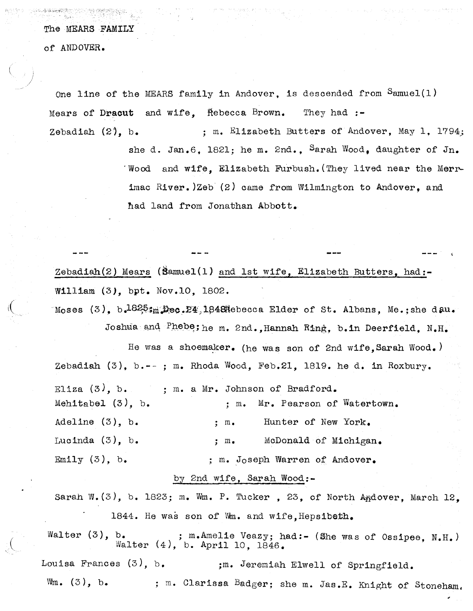The MEARS FAMILY

of ANDOVER.

One line of the MEARS family in Andover, is descended from  $S$ amuel(1) Mears of Dracut and wife. Hebecca Brown. They had  $:$ -

Zebadiah  $(2)$ , b. ; m. Elizabeth Butters of Andover, May 1, 1794;

she d. Jan.6, 1821; he m. 2nd., Sarah Wood, daughter of Jn. 'Wood and wife, Elizabeth Furbush. (They lived near the Merr linac River. )Zeb (2) came from Wilmington to Andover, and had land from Jonathan Abbott.

Zebadiah $(2)$  Mears (Samuel $(1)$  and 1st wife, Elizabeth Butters, had:-William (3), bpt. Nov.10, 1802.

Moses  $(3)$ , b.  $1825m$ , Dec. 24, 1848 Rebecca Elder of St. Albans, Me.; she d.au. Joshua and Phebe; he m. 2nd., Hannah Ring, b.in Deerfield, N.H.

He was a shoemaker. (he was son of 2nd wife, Sarah Wood.) Zebadiah  $(3)$ , b.--; m. Rhoda Wood, Feb.21, 1819. he d. in Roxbury. Eliza  $(3)$ , b. ; m. a Mr. Johnson of Bradford. Mehitabel  $(3)$ , b.  $\qquad \qquad ; m.$  Mr. Pearson of Watertown. Adeline (3), b.  $\qquad \qquad ; \qquad \qquad$  Hunter of New York. Lucinda  $(3)$ , b.  $\qquad \qquad ;$  m. McDonald of Michigan. Emily  $(3)$ , b.  $\qquad \qquad ;$  m. Joseph Warren of Andover.

## by 2nd wife, Sarah Wood:-

Sarah W.(3), b. 1823; m. Wm. P. Tucker, 23, of North Andover, March 12. 1844. He was son of Wm. and wife, Hepsibeth.

Walter  $(3)$ , b. ; m.Amelie Veazy; had:- (She was of Ossipee, N.H.)<br>Walter  $(4)$ , b. April 10, 1846. ;m. Jeremiah Elwell of Springfield. ; m. Clarissa Badger; she m. Jas.E. Knight of Stoneham, Louisa Frances (3), b.  $W_m$ .  $(3)$ , b.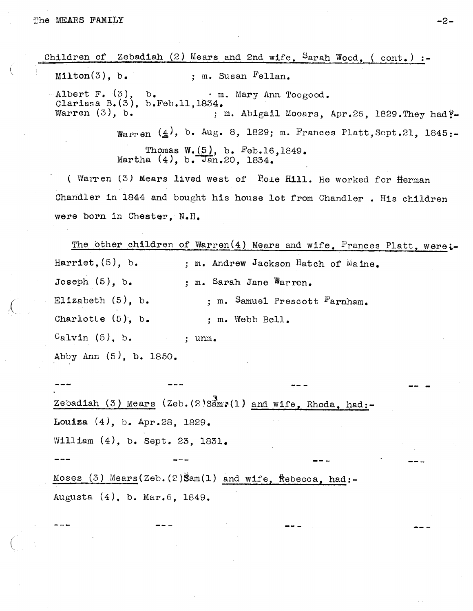Children of Zebadiah  $(2)$  Mears and 2nd wife, Sarah Wood, (cont.) :- $Milton(3)$ , b. ; m. Susan Fellan. Albert F.  $(3)$ , b. rn. Mary Ann Toogood. Clarissa B.(3), b.Feb.ll,1834. Warren  $(3)$ , b.  $\hspace{1cm}$  ; m. Abigail Mooars, Apr.26, 1829. They had  $\tilde{f}$ -Warren  $(4)$ , b. Aug. 8, 1829; m. Frances Platt, Sept.21, 1845:-Thomas W.(5), b. Feb.16,1849. Martha  $(4)$ , b. Jan.20, 1834.

( Warren  $(3)$  Mears lived west of Pole Hill. He worked for Herman Chandler in <sup>1844</sup> and bought his house lot from Chandler . His children were born in Chester, N.H.

The other children of Warren(4) Mears and wife, Frances Platt, were:-Harriet, (5), b. ; m. Andrew Jackson Hatch of Maine. Joseph (5), b. ; m. Sarah Jane Warren. Elizabeth  $(5)$ , b. ; m. Samuel Prescott Farnham. Charlotte  $(5)$ , b. ; m. Webb Bell.  $\text{CaIvin (5), b. }$  ; unm. Abby Ann (5), b. 1850.

Zebadiah (3) Mears (Zeb.(2)Samr(1) and wife, Rhoda, had:-Louiza  $(4)$ , b. Apr.28, 1829. William (4), b. Sept. 23, 1831.

Moses (3) Mears(Zeb.(2)Sam(1) and wife, Rebecca, had:-Augusta (4), b. Mar.6, 1849.